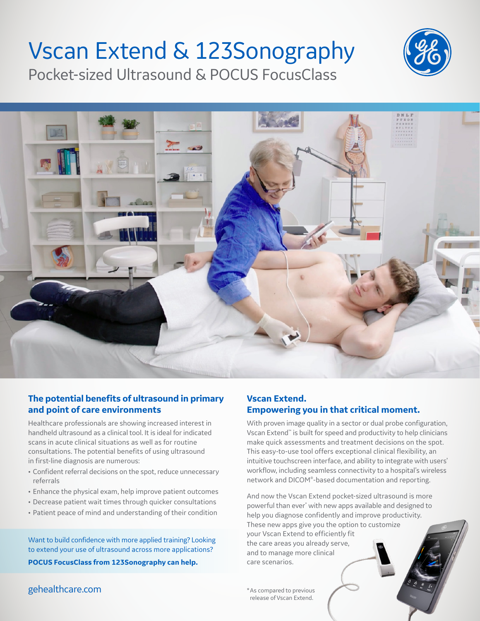# Vscan Extend & 123Sonography

Pocket-sized Ultrasound & POCUS FocusClass





#### **The potential benefits of ultrasound in primary and point of care environments**

Healthcare professionals are showing increased interest in handheld ultrasound as a clinical tool. It is ideal for indicated scans in acute clinical situations as well as for routine consultations. The potential benefits of using ultrasound in first-line diagnosis are numerous:

- Confident referral decisions on the spot, reduce unnecessary referrals
- Enhance the physical exam, help improve patient outcomes
- Decrease patient wait times through quicker consultations
- Patient peace of mind and understanding of their condition

Want to build confidence with more applied training? Looking to extend your use of ultrasound across more applications?

**POCUS FocusClass from 123Sonography can help.**

#### gehealthcare.com  $*$ As compared to previous

#### **Vscan Extend. Empowering you in that critical moment.**

With proven image quality in a sector or dual probe configuration, Vscan Extend™ is built for speed and productivity to help clinicians make quick assessments and treatment decisions on the spot. This easy-to-use tool offers exceptional clinical flexibility, an intuitive touchscreen interface, and ability to integrate with users' workflow, including seamless connectivity to a hospital's wireless network and DICOM®-based documentation and reporting.

And now the Vscan Extend pocket-sized ultrasound is more powerful than ever\* with new apps available and designed to help you diagnose confidently and improve productivity. These new apps give you the option to customize your Vscan Extend to efficiently fit the care areas you already serve,

and to manage more clinical care scenarios.

release of Vscan Extend.